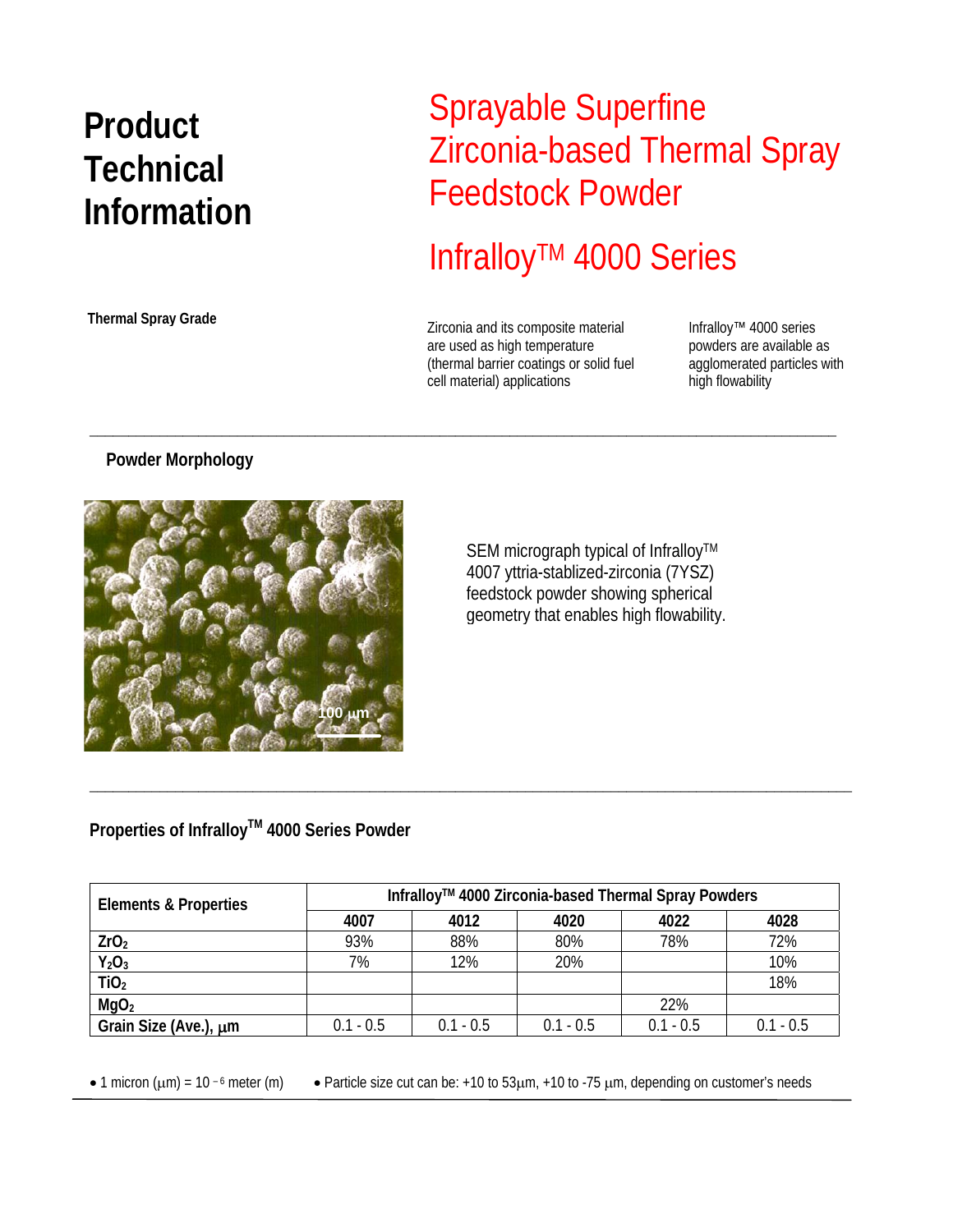# **Product Technical Information**

**Thermal Spray Grade** 

## Sprayable Superfine Zirconia-based Thermal Spray Feedstock Powder

## InfralloyTM 4000 Series

Zirconia and its composite material are used as high temperature (thermal barrier coatings or solid fuel cell material) applications

\_\_\_\_\_\_\_\_\_\_\_\_\_\_\_\_\_\_\_\_\_\_\_\_\_\_\_\_\_\_\_\_\_\_\_\_\_\_\_\_\_\_\_\_\_\_\_\_\_\_\_\_\_\_\_\_\_\_\_\_\_\_\_\_\_\_\_\_\_\_\_\_\_\_\_\_\_\_\_\_\_\_\_\_\_\_\_\_\_\_\_\_\_\_\_\_

Infralloy™ 4000 series powders are available as agglomerated particles with high flowability

#### **Powder Morphology**



SEM micrograph typical of Infralloy™ 4007 yttria-stablized-zirconia (7YSZ) feedstock powder showing spherical geometry that enables high flowability.

### **Properties of Infralloy™ 4000 Series Powder**

| <b>Elements &amp; Properties</b> | Infralloy™ 4000 Zirconia-based Thermal Spray Powders |             |             |             |             |
|----------------------------------|------------------------------------------------------|-------------|-------------|-------------|-------------|
|                                  | 4007                                                 | 4012        | 4020        | 4022        | 4028        |
| ZrO <sub>2</sub>                 | 93%                                                  | 88%         | 80%         | 78%         | 72%         |
| $Y_2O_3$                         | 7%                                                   | 12%         | 20%         |             | 10%         |
| TiO <sub>2</sub>                 |                                                      |             |             |             | 18%         |
| MgO <sub>2</sub>                 |                                                      |             |             | 22%         |             |
| Grain Size (Ave.), um            | $0.1 - 0.5$                                          | $0.1 - 0.5$ | $0.1 - 0.5$ | $0.1 - 0.5$ | $0.1 - 0.5$ |

\_\_\_\_\_\_\_\_\_\_\_\_\_\_\_\_\_\_\_\_\_\_\_\_\_\_\_\_\_\_\_\_\_\_\_\_\_\_\_\_\_\_\_\_\_\_\_\_\_\_\_\_\_\_\_\_\_\_\_\_\_\_\_\_\_\_\_\_\_\_\_\_\_\_\_\_\_\_\_\_\_\_\_\_\_\_\_\_\_\_\_\_\_\_\_\_\_\_

• 1 micron ( $\mu$ m) = 10 <sup>-6</sup> meter (m) • Particle size cut can be: +10 to 53 $\mu$ m, +10 to -75  $\mu$ m, depending on customer's needs